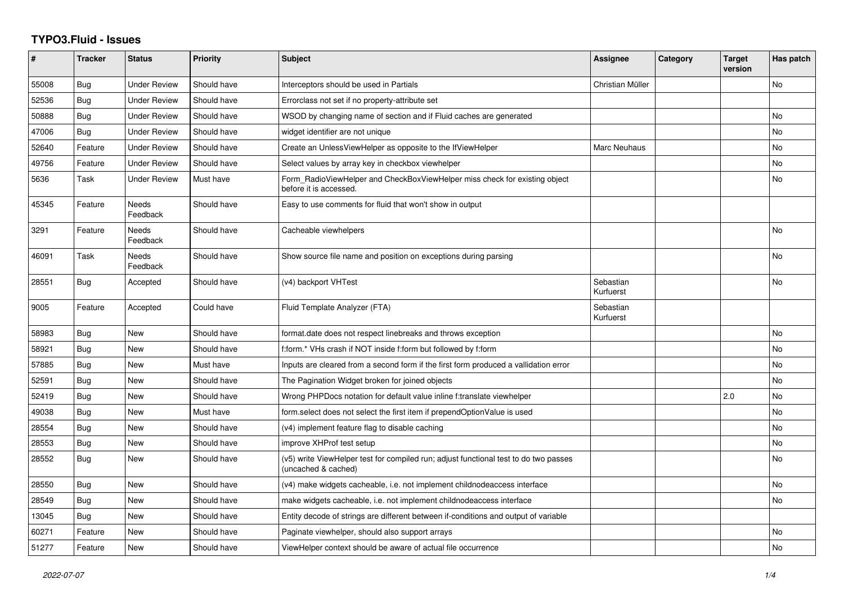## **TYPO3.Fluid - Issues**

| #     | <b>Tracker</b> | <b>Status</b>       | <b>Priority</b> | <b>Subject</b>                                                                                              | Assignee               | Category | <b>Target</b><br>version | Has patch |
|-------|----------------|---------------------|-----------------|-------------------------------------------------------------------------------------------------------------|------------------------|----------|--------------------------|-----------|
| 55008 | Bug            | <b>Under Review</b> | Should have     | Interceptors should be used in Partials                                                                     | Christian Müller       |          |                          | No        |
| 52536 | <b>Bug</b>     | Under Review        | Should have     | Errorclass not set if no property-attribute set                                                             |                        |          |                          |           |
| 50888 | Bug            | <b>Under Review</b> | Should have     | WSOD by changing name of section and if Fluid caches are generated                                          |                        |          |                          | No        |
| 47006 | Bug            | <b>Under Review</b> | Should have     | widget identifier are not unique                                                                            |                        |          |                          | No        |
| 52640 | Feature        | Under Review        | Should have     | Create an UnlessViewHelper as opposite to the IfViewHelper                                                  | Marc Neuhaus           |          |                          | No.       |
| 49756 | Feature        | <b>Under Review</b> | Should have     | Select values by array key in checkbox viewhelper                                                           |                        |          |                          | No        |
| 5636  | Task           | <b>Under Review</b> | Must have       | Form_RadioViewHelper and CheckBoxViewHelper miss check for existing object<br>before it is accessed.        |                        |          |                          | <b>No</b> |
| 45345 | Feature        | Needs<br>Feedback   | Should have     | Easy to use comments for fluid that won't show in output                                                    |                        |          |                          |           |
| 3291  | Feature        | Needs<br>Feedback   | Should have     | Cacheable viewhelpers                                                                                       |                        |          |                          | No        |
| 46091 | Task           | Needs<br>Feedback   | Should have     | Show source file name and position on exceptions during parsing                                             |                        |          |                          | <b>No</b> |
| 28551 | Bug            | Accepted            | Should have     | (v4) backport VHTest                                                                                        | Sebastian<br>Kurfuerst |          |                          | <b>No</b> |
| 9005  | Feature        | Accepted            | Could have      | Fluid Template Analyzer (FTA)                                                                               | Sebastian<br>Kurfuerst |          |                          |           |
| 58983 | <b>Bug</b>     | New                 | Should have     | format.date does not respect linebreaks and throws exception                                                |                        |          |                          | <b>No</b> |
| 58921 | <b>Bug</b>     | New                 | Should have     | f:form.* VHs crash if NOT inside f:form but followed by f:form                                              |                        |          |                          | <b>No</b> |
| 57885 | Bug            | New                 | Must have       | Inputs are cleared from a second form if the first form produced a vallidation error                        |                        |          |                          | No        |
| 52591 | Bug            | New                 | Should have     | The Pagination Widget broken for joined objects                                                             |                        |          |                          | No        |
| 52419 | Bug            | New                 | Should have     | Wrong PHPDocs notation for default value inline f:translate viewhelper                                      |                        |          | 2.0                      | No        |
| 49038 | Bug            | New                 | Must have       | form.select does not select the first item if prependOptionValue is used                                    |                        |          |                          | No        |
| 28554 | Bug            | <b>New</b>          | Should have     | (v4) implement feature flag to disable caching                                                              |                        |          |                          | <b>No</b> |
| 28553 | Bug            | New                 | Should have     | improve XHProf test setup                                                                                   |                        |          |                          | No        |
| 28552 | <b>Bug</b>     | New                 | Should have     | (v5) write ViewHelper test for compiled run; adjust functional test to do two passes<br>(uncached & cached) |                        |          |                          | No        |
| 28550 | Bug            | <b>New</b>          | Should have     | (v4) make widgets cacheable, i.e. not implement childnodeaccess interface                                   |                        |          |                          | No        |
| 28549 | Bug            | New                 | Should have     | make widgets cacheable, i.e. not implement childnodeaccess interface                                        |                        |          |                          | <b>No</b> |
| 13045 | <b>Bug</b>     | New                 | Should have     | Entity decode of strings are different between if-conditions and output of variable                         |                        |          |                          |           |
| 60271 | Feature        | New                 | Should have     | Paginate viewhelper, should also support arrays                                                             |                        |          |                          | No        |
| 51277 | Feature        | New                 | Should have     | ViewHelper context should be aware of actual file occurrence                                                |                        |          |                          | <b>No</b> |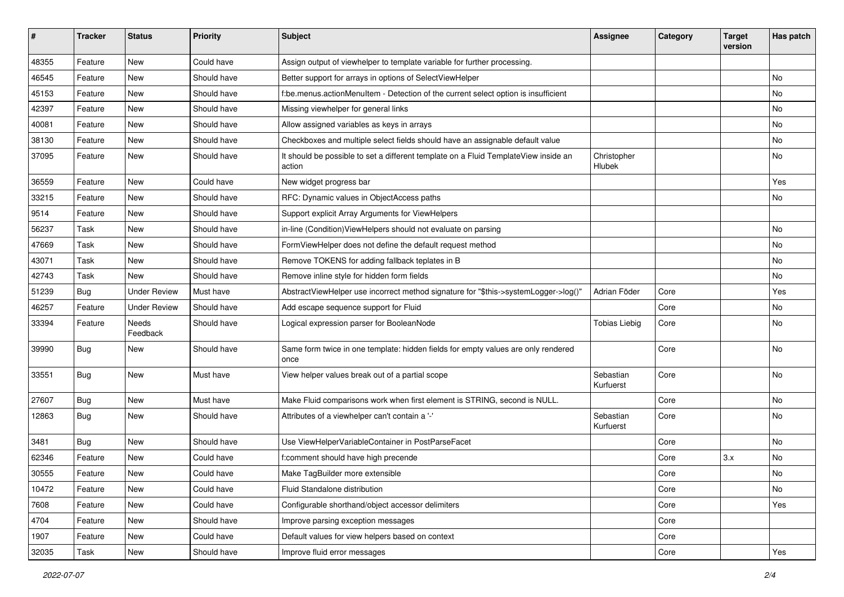| ∦     | <b>Tracker</b> | <b>Status</b>       | <b>Priority</b> | <b>Subject</b>                                                                                | <b>Assignee</b>        | Category | <b>Target</b><br>version | Has patch |
|-------|----------------|---------------------|-----------------|-----------------------------------------------------------------------------------------------|------------------------|----------|--------------------------|-----------|
| 48355 | Feature        | New                 | Could have      | Assign output of viewhelper to template variable for further processing.                      |                        |          |                          |           |
| 46545 | Feature        | New                 | Should have     | Better support for arrays in options of SelectViewHelper                                      |                        |          |                          | No        |
| 45153 | Feature        | New                 | Should have     | f:be.menus.actionMenuItem - Detection of the current select option is insufficient            |                        |          |                          | No        |
| 42397 | Feature        | New                 | Should have     | Missing viewhelper for general links                                                          |                        |          |                          | No        |
| 40081 | Feature        | New                 | Should have     | Allow assigned variables as keys in arrays                                                    |                        |          |                          | No        |
| 38130 | Feature        | <b>New</b>          | Should have     | Checkboxes and multiple select fields should have an assignable default value                 |                        |          |                          | No        |
| 37095 | Feature        | New                 | Should have     | It should be possible to set a different template on a Fluid TemplateView inside an<br>action | Christopher<br>Hlubek  |          |                          | No        |
| 36559 | Feature        | New                 | Could have      | New widget progress bar                                                                       |                        |          |                          | Yes       |
| 33215 | Feature        | New                 | Should have     | RFC: Dynamic values in ObjectAccess paths                                                     |                        |          |                          | No        |
| 9514  | Feature        | New                 | Should have     | Support explicit Array Arguments for ViewHelpers                                              |                        |          |                          |           |
| 56237 | Task           | New                 | Should have     | in-line (Condition) View Helpers should not evaluate on parsing                               |                        |          |                          | No        |
| 47669 | Task           | New                 | Should have     | FormViewHelper does not define the default request method                                     |                        |          |                          | No        |
| 43071 | Task           | <b>New</b>          | Should have     | Remove TOKENS for adding fallback teplates in B                                               |                        |          |                          | No.       |
| 42743 | Task           | New                 | Should have     | Remove inline style for hidden form fields                                                    |                        |          |                          | No        |
| 51239 | <b>Bug</b>     | <b>Under Review</b> | Must have       | AbstractViewHelper use incorrect method signature for "\$this->systemLogger->log()"           | Adrian Föder           | Core     |                          | Yes       |
| 46257 | Feature        | <b>Under Review</b> | Should have     | Add escape sequence support for Fluid                                                         |                        | Core     |                          | No        |
| 33394 | Feature        | Needs<br>Feedback   | Should have     | Logical expression parser for BooleanNode                                                     | Tobias Liebig          | Core     |                          | No        |
| 39990 | Bug            | New                 | Should have     | Same form twice in one template: hidden fields for empty values are only rendered<br>once     |                        | Core     |                          | No        |
| 33551 | Bug            | <b>New</b>          | Must have       | View helper values break out of a partial scope                                               | Sebastian<br>Kurfuerst | Core     |                          | No        |
| 27607 | Bug            | New                 | Must have       | Make Fluid comparisons work when first element is STRING, second is NULL.                     |                        | Core     |                          | No        |
| 12863 | Bug            | New                 | Should have     | Attributes of a viewhelper can't contain a '-'                                                | Sebastian<br>Kurfuerst | Core     |                          | No        |
| 3481  | Bug            | New                 | Should have     | Use ViewHelperVariableContainer in PostParseFacet                                             |                        | Core     |                          | No        |
| 62346 | Feature        | New                 | Could have      | f:comment should have high precende                                                           |                        | Core     | 3.x                      | No        |
| 30555 | Feature        | New                 | Could have      | Make TagBuilder more extensible                                                               |                        | Core     |                          | No        |
| 10472 | Feature        | New                 | Could have      | Fluid Standalone distribution                                                                 |                        | Core     |                          | No        |
| 7608  | Feature        | New                 | Could have      | Configurable shorthand/object accessor delimiters                                             |                        | Core     |                          | Yes       |
| 4704  | Feature        | New                 | Should have     | Improve parsing exception messages                                                            |                        | Core     |                          |           |
| 1907  | Feature        | New                 | Could have      | Default values for view helpers based on context                                              |                        | Core     |                          |           |
| 32035 | Task           | New                 | Should have     | Improve fluid error messages                                                                  |                        | Core     |                          | Yes       |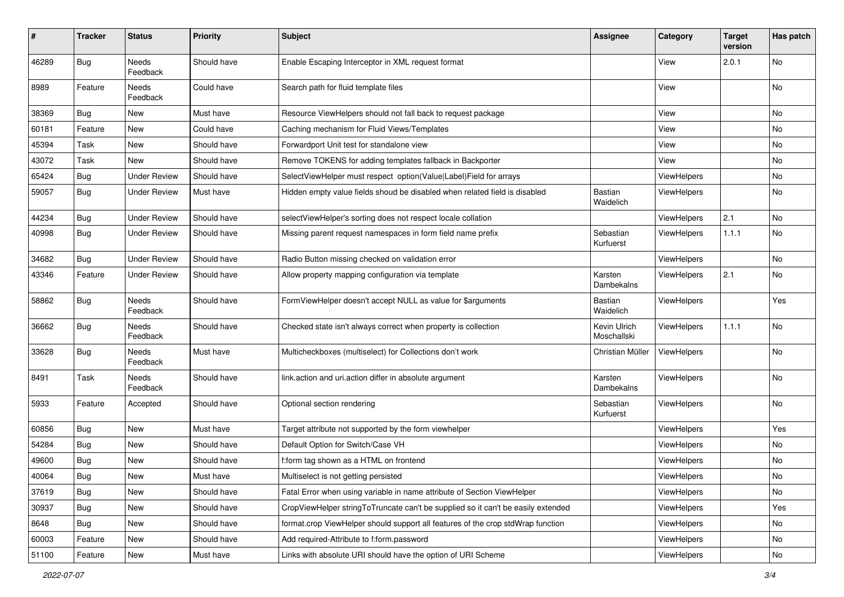| #     | <b>Tracker</b> | <b>Status</b>            | <b>Priority</b> | Subject                                                                          | <b>Assignee</b>             | Category           | <b>Target</b><br>version | Has patch     |
|-------|----------------|--------------------------|-----------------|----------------------------------------------------------------------------------|-----------------------------|--------------------|--------------------------|---------------|
| 46289 | Bug            | <b>Needs</b><br>Feedback | Should have     | Enable Escaping Interceptor in XML request format                                |                             | View               | 2.0.1                    | No            |
| 8989  | Feature        | Needs<br>Feedback        | Could have      | Search path for fluid template files                                             |                             | View               |                          | No            |
| 38369 | Bug            | New                      | Must have       | Resource ViewHelpers should not fall back to request package                     |                             | View               |                          | No            |
| 60181 | Feature        | New                      | Could have      | Caching mechanism for Fluid Views/Templates                                      |                             | View               |                          | No            |
| 45394 | Task           | New                      | Should have     | Forwardport Unit test for standalone view                                        |                             | View               |                          | No            |
| 43072 | Task           | New                      | Should have     | Remove TOKENS for adding templates fallback in Backporter                        |                             | View               |                          | No            |
| 65424 | Bug            | <b>Under Review</b>      | Should have     | SelectViewHelper must respect option(Value Label)Field for arrays                |                             | ViewHelpers        |                          | No            |
| 59057 | Bug            | Under Review             | Must have       | Hidden empty value fields shoud be disabled when related field is disabled       | <b>Bastian</b><br>Waidelich | ViewHelpers        |                          | No            |
| 44234 | Bug            | <b>Under Review</b>      | Should have     | selectViewHelper's sorting does not respect locale collation                     |                             | ViewHelpers        | 2.1                      | <b>No</b>     |
| 40998 | Bug            | Under Review             | Should have     | Missing parent request namespaces in form field name prefix                      | Sebastian<br>Kurfuerst      | <b>ViewHelpers</b> | 1.1.1                    | No            |
| 34682 | Bug            | <b>Under Review</b>      | Should have     | Radio Button missing checked on validation error                                 |                             | ViewHelpers        |                          | No            |
| 43346 | Feature        | <b>Under Review</b>      | Should have     | Allow property mapping configuration via template                                | Karsten<br>Dambekalns       | ViewHelpers        | 2.1                      | No            |
| 58862 | Bug            | Needs<br>Feedback        | Should have     | FormViewHelper doesn't accept NULL as value for \$arguments                      | Bastian<br>Waidelich        | ViewHelpers        |                          | Yes           |
| 36662 | Bug            | Needs<br>Feedback        | Should have     | Checked state isn't always correct when property is collection                   | Kevin Ulrich<br>Moschallski | ViewHelpers        | 1.1.1                    | No            |
| 33628 | Bug            | Needs<br>Feedback        | Must have       | Multicheckboxes (multiselect) for Collections don't work                         | Christian Müller            | ViewHelpers        |                          | No            |
| 8491  | Task           | Needs<br>Feedback        | Should have     | link.action and uri.action differ in absolute argument                           | Karsten<br>Dambekalns       | <b>ViewHelpers</b> |                          | No            |
| 5933  | Feature        | Accepted                 | Should have     | Optional section rendering                                                       | Sebastian<br>Kurfuerst      | ViewHelpers        |                          | No            |
| 60856 | Bug            | New                      | Must have       | Target attribute not supported by the form viewhelper                            |                             | ViewHelpers        |                          | Yes           |
| 54284 | Bug            | New                      | Should have     | Default Option for Switch/Case VH                                                |                             | ViewHelpers        |                          | No            |
| 49600 | Bug            | New                      | Should have     | f:form tag shown as a HTML on frontend                                           |                             | ViewHelpers        |                          | No            |
| 40064 | i Bug          | New                      | Must have       | Multiselect is not getting persisted                                             |                             | ViewHelpers        |                          | $\mathsf{No}$ |
| 37619 | Bug            | New                      | Should have     | Fatal Error when using variable in name attribute of Section ViewHelper          |                             | ViewHelpers        |                          | No            |
| 30937 | Bug            | New                      | Should have     | CropViewHelper stringToTruncate can't be supplied so it can't be easily extended |                             | ViewHelpers        |                          | Yes           |
| 8648  | Bug            | New                      | Should have     | format.crop ViewHelper should support all features of the crop stdWrap function  |                             | ViewHelpers        |                          | No            |
| 60003 | Feature        | New                      | Should have     | Add required-Attribute to f:form.password                                        |                             | ViewHelpers        |                          | No            |
| 51100 | Feature        | New                      | Must have       | Links with absolute URI should have the option of URI Scheme                     |                             | ViewHelpers        |                          | $\mathsf{No}$ |